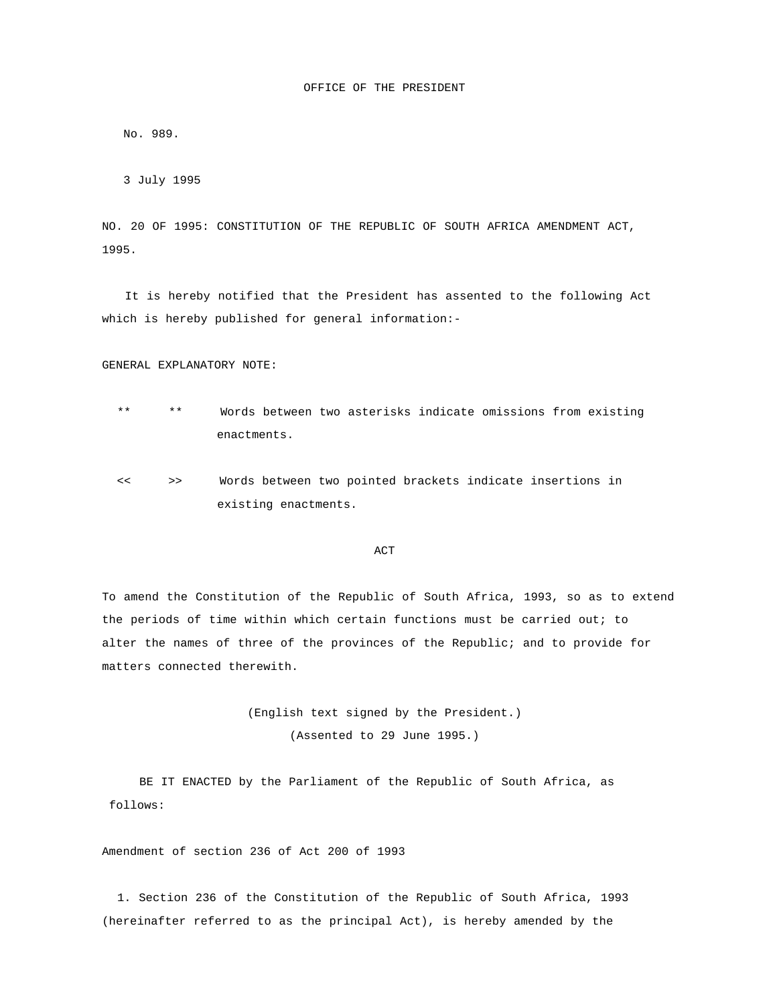No. 989.

3 July 1995

NO. 20 OF 1995: CONSTITUTION OF THE REPUBLIC OF SOUTH AFRICA AMENDMENT ACT, 1995.

 It is hereby notified that the President has assented to the following Act which is hereby published for general information:-

## GENERAL EXPLANATORY NOTE:

- \*\* \*\* Words between two asterisks indicate omissions from existing enactments.
- << >> Words between two pointed brackets indicate insertions in existing enactments.

## **ACT**

To amend the Constitution of the Republic of South Africa, 1993, so as to extend the periods of time within which certain functions must be carried out; to alter the names of three of the provinces of the Republic; and to provide for matters connected therewith.

> (English text signed by the President.) (Assented to 29 June 1995.)

 BE IT ENACTED by the Parliament of the Republic of South Africa, as follows:

Amendment of section 236 of Act 200 of 1993

 1. Section 236 of the Constitution of the Republic of South Africa, 1993 (hereinafter referred to as the principal Act), is hereby amended by the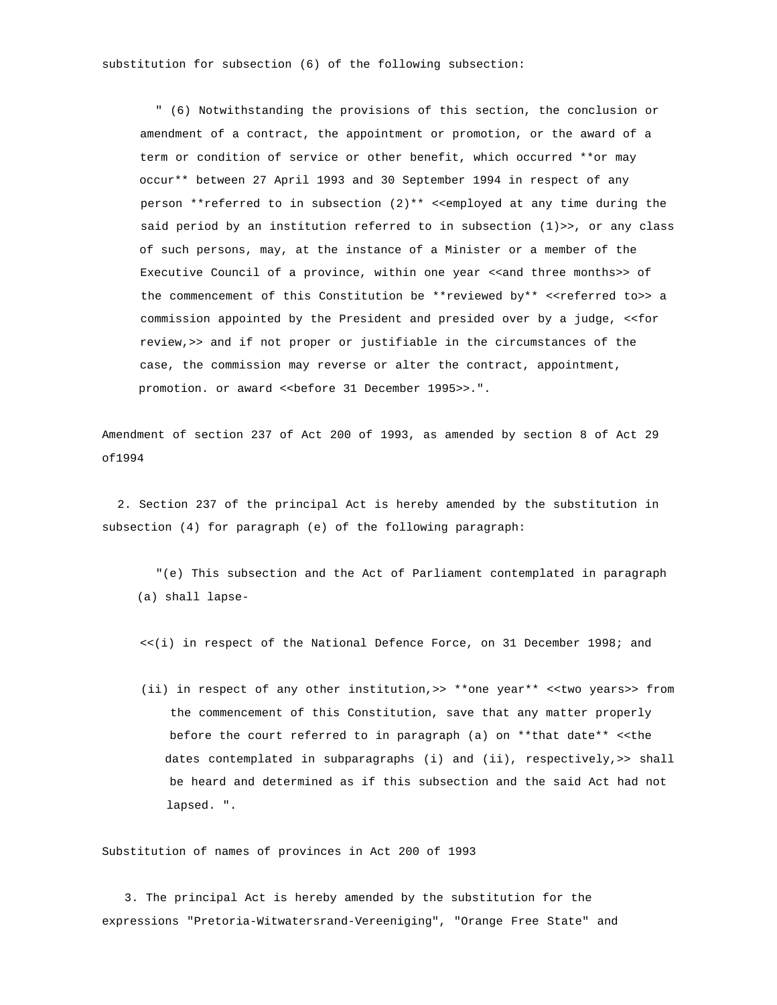substitution for subsection (6) of the following subsection:

 " (6) Notwithstanding the provisions of this section, the conclusion or amendment of a contract, the appointment or promotion, or the award of a term or condition of service or other benefit, which occurred \*\*or may occur\*\* between 27 April 1993 and 30 September 1994 in respect of any person \*\*referred to in subsection (2)\*\* <<employed at any time during the said period by an institution referred to in subsection (1)>>, or any class of such persons, may, at the instance of a Minister or a member of the Executive Council of a province, within one year <<and three months>> of the commencement of this Constitution be \*\* reviewed by\*\* <<referred to>> a commission appointed by the President and presided over by a judge, <<for review,>> and if not proper or justifiable in the circumstances of the case, the commission may reverse or alter the contract, appointment, promotion. or award <<before 31 December 1995>>.".

Amendment of section 237 of Act 200 of 1993, as amended by section 8 of Act 29 of1994

 2. Section 237 of the principal Act is hereby amended by the substitution in subsection (4) for paragraph (e) of the following paragraph:

 "(e) This subsection and the Act of Parliament contemplated in paragraph (a) shall lapse-

<<(i) in respect of the National Defence Force, on 31 December 1998; and

 (ii) in respect of any other institution,>> \*\*one year\*\* <<two years>> from the commencement of this Constitution, save that any matter properly before the court referred to in paragraph (a) on \*\*that date\*\* <<the dates contemplated in subparagraphs (i) and (ii), respectively,>> shall be heard and determined as if this subsection and the said Act had not lapsed. ".

Substitution of names of provinces in Act 200 of 1993

 3. The principal Act is hereby amended by the substitution for the expressions "Pretoria-Witwatersrand-Vereeniging", "Orange Free State" and